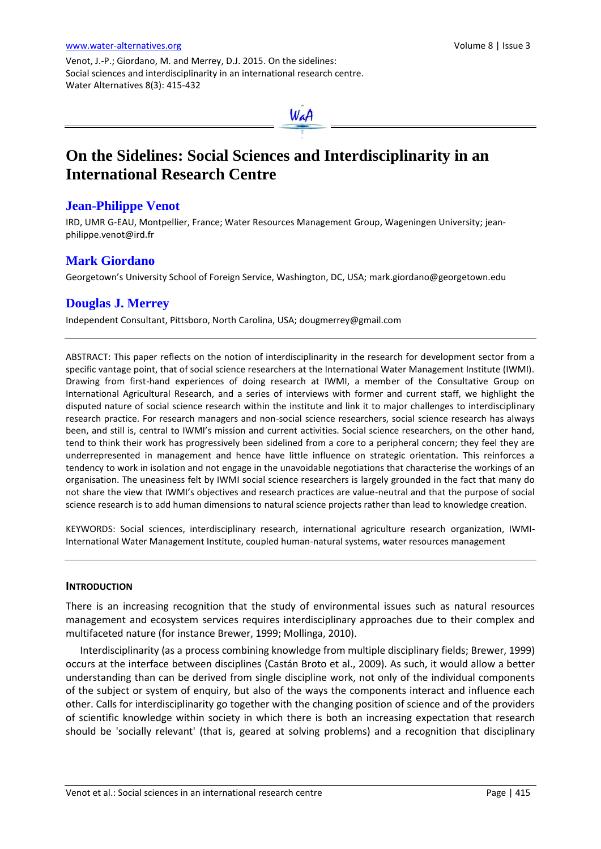Venot, J.-P.; Giordano, M. and Merrey, D.J. 2015. On the sidelines: Social sciences and interdisciplinarity in an international research centre. Water Alternatives 8(3): 415-432



# **On the Sidelines: Social Sciences and Interdisciplinarity in an International Research Centre**

## **Jean-Philippe Venot**

IRD, UMR G-EAU, Montpellier, France; Water Resources Management Group, Wageningen University; [jean](mailto:jean-philippe.venot@ird.fr)[philippe.venot@ird.fr](mailto:jean-philippe.venot@ird.fr)

## **Mark Giordano**

Georgetown's University School of Foreign Service, Washington, DC, USA; [mark.giordano@georgetown.edu](mailto:Mark.Giordano@georgetown.edu)

# **Douglas J. Merrey**

Independent Consultant, Pittsboro, North Carolina, USA; [dougmerrey@gmail.com](mailto:dougmerrey@gmail.com)

ABSTRACT: This paper reflects on the notion of interdisciplinarity in the research for development sector from a specific vantage point, that of social science researchers at the International Water Management Institute (IWMI). Drawing from first-hand experiences of doing research at IWMI, a member of the Consultative Group on International Agricultural Research, and a series of interviews with former and current staff, we highlight the disputed nature of social science research within the institute and link it to major challenges to interdisciplinary research practice. For research managers and non-social science researchers, social science research has always been, and still is, central to IWMI's mission and current activities. Social science researchers, on the other hand, tend to think their work has progressively been sidelined from a core to a peripheral concern; they feel they are underrepresented in management and hence have little influence on strategic orientation. This reinforces a tendency to work in isolation and not engage in the unavoidable negotiations that characterise the workings of an organisation. The uneasiness felt by IWMI social science researchers is largely grounded in the fact that many do not share the view that IWMI's objectives and research practices are value-neutral and that the purpose of social science research is to add human dimensions to natural science projects rather than lead to knowledge creation.

KEYWORDS: Social sciences, interdisciplinary research, international agriculture research organization, IWMI-International Water Management Institute, coupled human-natural systems, water resources management

#### **INTRODUCTION**

There is an increasing recognition that the study of environmental issues such as natural resources management and ecosystem services requires interdisciplinary approaches due to their complex and multifaceted nature (for instance Brewer, 1999; Mollinga, 2010).

Interdisciplinarity (as a process combining knowledge from multiple disciplinary fields; Brewer, 1999) occurs at the interface between disciplines (Castán Broto et al., 2009). As such, it would allow a better understanding than can be derived from single discipline work, not only of the individual components of the subject or system of enquiry, but also of the ways the components interact and influence each other. Calls for interdisciplinarity go together with the changing position of science and of the providers of scientific knowledge within society in which there is both an increasing expectation that research should be 'socially relevant' (that is, geared at solving problems) and a recognition that disciplinary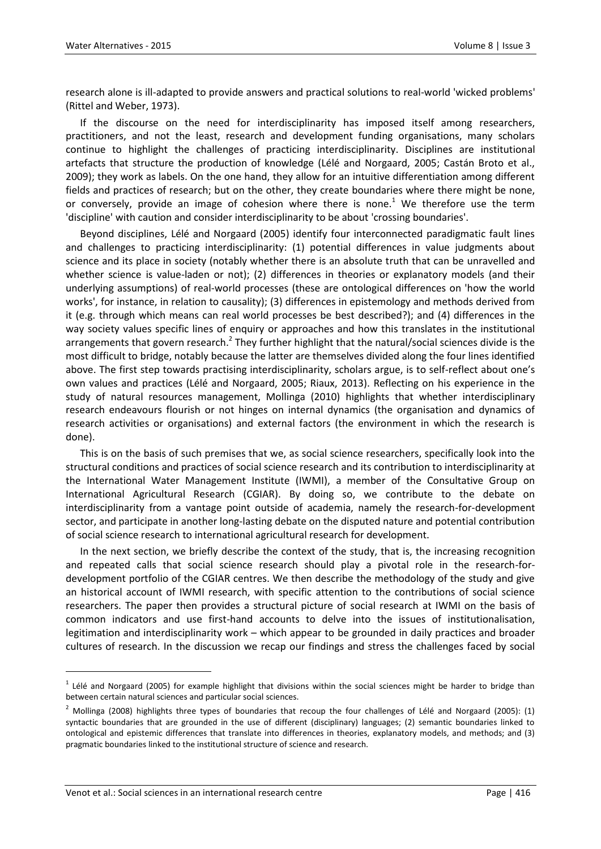research alone is ill-adapted to provide answers and practical solutions to real-world 'wicked problems' (Rittel and Weber, 1973).

If the discourse on the need for interdisciplinarity has imposed itself among researchers, practitioners, and not the least, research and development funding organisations, many scholars continue to highlight the challenges of practicing interdisciplinarity. Disciplines are institutional artefacts that structure the production of knowledge (Lélé and Norgaard, 2005; Castán Broto et al., 2009); they work as labels. On the one hand, they allow for an intuitive differentiation among different fields and practices of research; but on the other, they create boundaries where there might be none, or conversely, provide an image of cohesion where there is none.<sup>1</sup> We therefore use the term 'discipline' with caution and consider interdisciplinarity to be about 'crossing boundaries'.

Beyond disciplines, Lélé and Norgaard (2005) identify four interconnected paradigmatic fault lines and challenges to practicing interdisciplinarity: (1) potential differences in value judgments about science and its place in society (notably whether there is an absolute truth that can be unravelled and whether science is value-laden or not); (2) differences in theories or explanatory models (and their underlying assumptions) of real-world processes (these are ontological differences on 'how the world works', for instance, in relation to causality); (3) differences in epistemology and methods derived from it (e.g. through which means can real world processes be best described?); and (4) differences in the way society values specific lines of enquiry or approaches and how this translates in the institutional arrangements that govern research.<sup>2</sup> They further highlight that the natural/social sciences divide is the most difficult to bridge, notably because the latter are themselves divided along the four lines identified above. The first step towards practising interdisciplinarity, scholars argue, is to self-reflect about one's own values and practices (Lélé and Norgaard, 2005; Riaux, 2013). Reflecting on his experience in the study of natural resources management, Mollinga (2010) highlights that whether interdisciplinary research endeavours flourish or not hinges on internal dynamics (the organisation and dynamics of research activities or organisations) and external factors (the environment in which the research is done).

This is on the basis of such premises that we, as social science researchers, specifically look into the structural conditions and practices of social science research and its contribution to interdisciplinarity at the International Water Management Institute (IWMI), a member of the Consultative Group on International Agricultural Research (CGIAR). By doing so, we contribute to the debate on interdisciplinarity from a vantage point outside of academia, namely the research-for-development sector, and participate in another long-lasting debate on the disputed nature and potential contribution of social science research to international agricultural research for development.

In the next section, we briefly describe the context of the study, that is, the increasing recognition and repeated calls that social science research should play a pivotal role in the research-fordevelopment portfolio of the CGIAR centres. We then describe the methodology of the study and give an historical account of IWMI research, with specific attention to the contributions of social science researchers. The paper then provides a structural picture of social research at IWMI on the basis of common indicators and use first-hand accounts to delve into the issues of institutionalisation, legitimation and interdisciplinarity work – which appear to be grounded in daily practices and broader cultures of research. In the discussion we recap our findings and stress the challenges faced by social

 $^1$  Lélé and Norgaard (2005) for example highlight that divisions within the social sciences might be harder to bridge than between certain natural sciences and particular social sciences.

 $2$  Mollinga (2008) highlights three types of boundaries that recoup the four challenges of Lélé and Norgaard (2005): (1) syntactic boundaries that are grounded in the use of different (disciplinary) languages; (2) semantic boundaries linked to ontological and epistemic differences that translate into differences in theories, explanatory models, and methods; and (3) pragmatic boundaries linked to the institutional structure of science and research.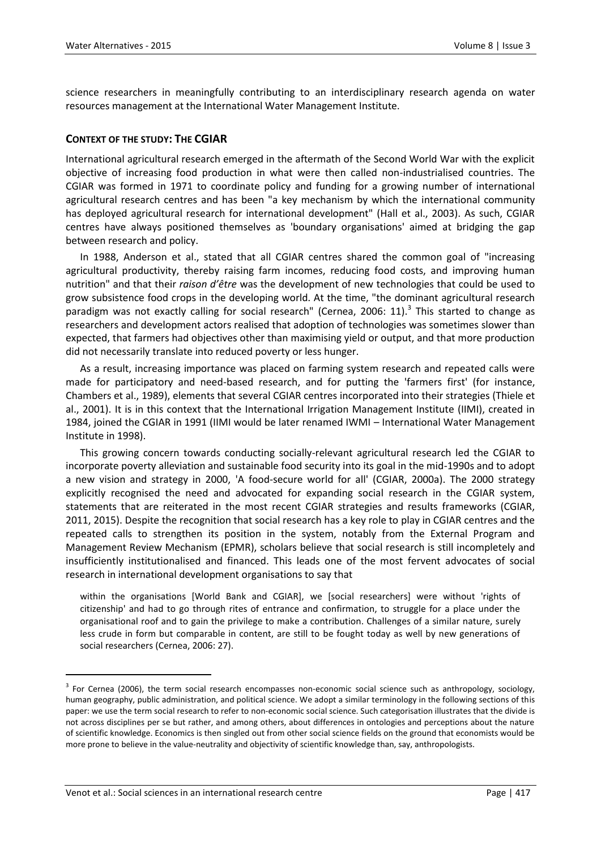science researchers in meaningfully contributing to an interdisciplinary research agenda on water resources management at the International Water Management Institute.

## **CONTEXT OF THE STUDY: THE CGIAR**

International agricultural research emerged in the aftermath of the Second World War with the explicit objective of increasing food production in what were then called non-industrialised countries. The CGIAR was formed in 1971 to coordinate policy and funding for a growing number of international agricultural research centres and has been "a key mechanism by which the international community has deployed agricultural research for international development" (Hall et al., 2003). As such, CGIAR centres have always positioned themselves as 'boundary organisations' aimed at bridging the gap between research and policy.

In 1988, Anderson et al., stated that all CGIAR centres shared the common goal of "increasing agricultural productivity, thereby raising farm incomes, reducing food costs, and improving human nutrition" and that their *raison d'être* was the development of new technologies that could be used to grow subsistence food crops in the developing world. At the time, "the dominant agricultural research paradigm was not exactly calling for social research" (Cernea, 2006: 11).<sup>3</sup> This started to change as researchers and development actors realised that adoption of technologies was sometimes slower than expected, that farmers had objectives other than maximising yield or output, and that more production did not necessarily translate into reduced poverty or less hunger.

As a result, increasing importance was placed on farming system research and repeated calls were made for participatory and need-based research, and for putting the 'farmers first' (for instance, Chambers et al., 1989), elements that several CGIAR centres incorporated into their strategies (Thiele et al., 2001). It is in this context that the International Irrigation Management Institute (IIMI), created in 1984, joined the CGIAR in 1991 (IIMI would be later renamed IWMI – International Water Management Institute in 1998).

This growing concern towards conducting socially-relevant agricultural research led the CGIAR to incorporate poverty alleviation and sustainable food security into its goal in the mid-1990s and to adopt a new vision and strategy in 2000, 'A food-secure world for all' (CGIAR, 2000a). The 2000 strategy explicitly recognised the need and advocated for expanding social research in the CGIAR system, statements that are reiterated in the most recent CGIAR strategies and results frameworks (CGIAR, 2011, 2015). Despite the recognition that social research has a key role to play in CGIAR centres and the repeated calls to strengthen its position in the system, notably from the External Program and Management Review Mechanism (EPMR), scholars believe that social research is still incompletely and insufficiently institutionalised and financed. This leads one of the most fervent advocates of social research in international development organisations to say that

within the organisations [World Bank and CGIAR], we [social researchers] were without 'rights of citizenship' and had to go through rites of entrance and confirmation, to struggle for a place under the organisational roof and to gain the privilege to make a contribution. Challenges of a similar nature, surely less crude in form but comparable in content, are still to be fought today as well by new generations of social researchers (Cernea, 2006: 27).

<sup>&</sup>lt;sup>3</sup> For Cernea (2006), the term social research encompasses non-economic social science such as anthropology, sociology, human geography, public administration, and political science. We adopt a similar terminology in the following sections of this paper: we use the term social research to refer to non-economic social science. Such categorisation illustrates that the divide is not across disciplines per se but rather, and among others, about differences in ontologies and perceptions about the nature of scientific knowledge. Economics is then singled out from other social science fields on the ground that economists would be more prone to believe in the value-neutrality and objectivity of scientific knowledge than, say, anthropologists.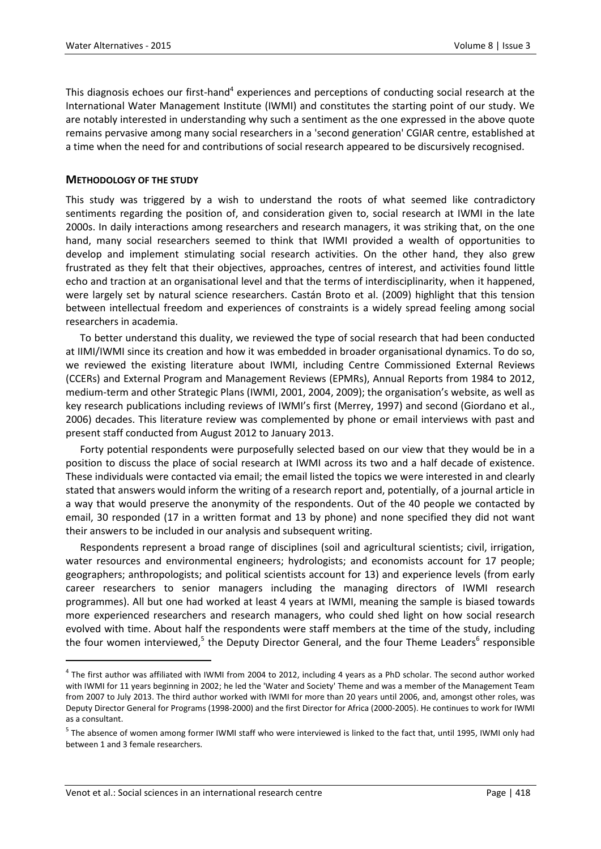This diagnosis echoes our first-hand<sup>4</sup> experiences and perceptions of conducting social research at the International Water Management Institute (IWMI) and constitutes the starting point of our study. We are notably interested in understanding why such a sentiment as the one expressed in the above quote remains pervasive among many social researchers in a 'second generation' CGIAR centre, established at a time when the need for and contributions of social research appeared to be discursively recognised.

### **METHODOLOGY OF THE STUDY**

This study was triggered by a wish to understand the roots of what seemed like contradictory sentiments regarding the position of, and consideration given to, social research at IWMI in the late 2000s. In daily interactions among researchers and research managers, it was striking that, on the one hand, many social researchers seemed to think that IWMI provided a wealth of opportunities to develop and implement stimulating social research activities. On the other hand, they also grew frustrated as they felt that their objectives, approaches, centres of interest, and activities found little echo and traction at an organisational level and that the terms of interdisciplinarity, when it happened, were largely set by natural science researchers. Castán Broto et al. (2009) highlight that this tension between intellectual freedom and experiences of constraints is a widely spread feeling among social researchers in academia.

To better understand this duality, we reviewed the type of social research that had been conducted at IIMI/IWMI since its creation and how it was embedded in broader organisational dynamics. To do so, we reviewed the existing literature about IWMI, including Centre Commissioned External Reviews (CCERs) and External Program and Management Reviews (EPMRs), Annual Reports from 1984 to 2012, medium-term and other Strategic Plans (IWMI, 2001, 2004, 2009); the organisation's website, as well as key research publications including reviews of IWMI's first (Merrey, 1997) and second (Giordano et al., 2006) decades. This literature review was complemented by phone or email interviews with past and present staff conducted from August 2012 to January 2013.

Forty potential respondents were purposefully selected based on our view that they would be in a position to discuss the place of social research at IWMI across its two and a half decade of existence. These individuals were contacted via email; the email listed the topics we were interested in and clearly stated that answers would inform the writing of a research report and, potentially, of a journal article in a way that would preserve the anonymity of the respondents. Out of the 40 people we contacted by email, 30 responded (17 in a written format and 13 by phone) and none specified they did not want their answers to be included in our analysis and subsequent writing.

Respondents represent a broad range of disciplines (soil and agricultural scientists; civil, irrigation, water resources and environmental engineers; hydrologists; and economists account for 17 people; geographers; anthropologists; and political scientists account for 13) and experience levels (from early career researchers to senior managers including the managing directors of IWMI research programmes). All but one had worked at least 4 years at IWMI, meaning the sample is biased towards more experienced researchers and research managers, who could shed light on how social research evolved with time. About half the respondents were staff members at the time of the study, including the four women interviewed,<sup>5</sup> the Deputy Director General, and the four Theme Leaders<sup>6</sup> responsible

 $^4$  The first author was affiliated with IWMI from 2004 to 2012, including 4 years as a PhD scholar. The second author worked with IWMI for 11 years beginning in 2002; he led the 'Water and Society' Theme and was a member of the Management Team from 2007 to July 2013. The third author worked with IWMI for more than 20 years until 2006, and, amongst other roles, was Deputy Director General for Programs (1998-2000) and the first Director for Africa (2000-2005). He continues to work for IWMI as a consultant.

<sup>&</sup>lt;sup>5</sup> The absence of women among former IWMI staff who were interviewed is linked to the fact that, until 1995, IWMI only had between 1 and 3 female researchers.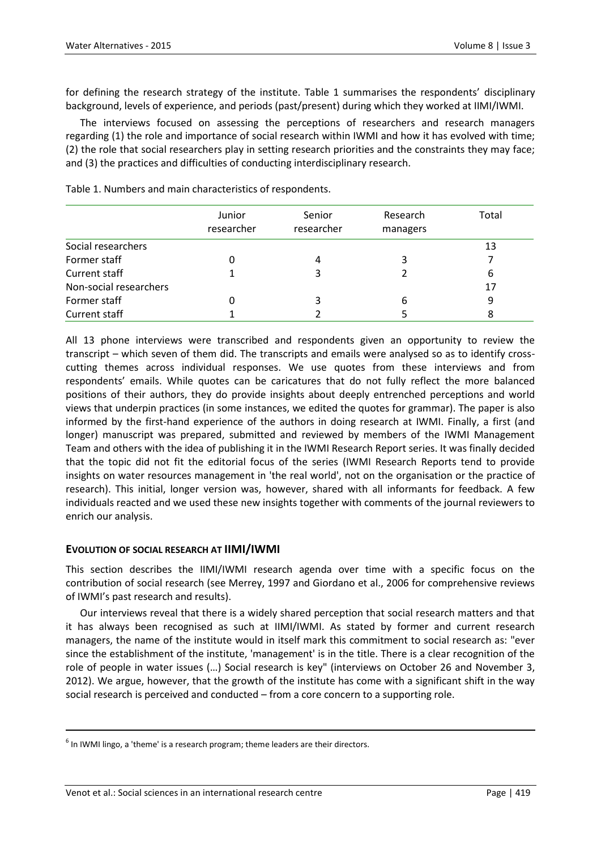for defining the research strategy of the institute. Table 1 summarises the respondents' disciplinary background, levels of experience, and periods (past/present) during which they worked at IIMI/IWMI.

The interviews focused on assessing the perceptions of researchers and research managers regarding (1) the role and importance of social research within IWMI and how it has evolved with time; (2) the role that social researchers play in setting research priorities and the constraints they may face; and (3) the practices and difficulties of conducting interdisciplinary research.

|                        | Junior<br>researcher | Senior<br>researcher | Research<br>managers | Total |
|------------------------|----------------------|----------------------|----------------------|-------|
| Social researchers     |                      |                      |                      | 13    |
| Former staff           |                      | 4                    |                      |       |
| <b>Current staff</b>   |                      |                      |                      | 6     |
| Non-social researchers |                      |                      |                      | 17    |
| Former staff           |                      |                      | 6                    | 9     |
| <b>Current staff</b>   |                      |                      |                      |       |

Table 1. Numbers and main characteristics of respondents.

All 13 phone interviews were transcribed and respondents given an opportunity to review the transcript – which seven of them did. The transcripts and emails were analysed so as to identify crosscutting themes across individual responses. We use quotes from these interviews and from respondents' emails. While quotes can be caricatures that do not fully reflect the more balanced positions of their authors, they do provide insights about deeply entrenched perceptions and world views that underpin practices (in some instances, we edited the quotes for grammar). The paper is also informed by the first-hand experience of the authors in doing research at IWMI. Finally, a first (and longer) manuscript was prepared, submitted and reviewed by members of the IWMI Management Team and others with the idea of publishing it in the IWMI Research Report series. It was finally decided that the topic did not fit the editorial focus of the series (IWMI Research Reports tend to provide insights on water resources management in 'the real world', not on the organisation or the practice of research). This initial, longer version was, however, shared with all informants for feedback. A few individuals reacted and we used these new insights together with comments of the journal reviewers to enrich our analysis.

#### **EVOLUTION OF SOCIAL RESEARCH AT IIMI/IWMI**

This section describes the IIMI/IWMI research agenda over time with a specific focus on the contribution of social research (see Merrey, 1997 and Giordano et al., 2006 for comprehensive reviews of IWMI's past research and results).

Our interviews reveal that there is a widely shared perception that social research matters and that it has always been recognised as such at IIMI/IWMI. As stated by former and current research managers, the name of the institute would in itself mark this commitment to social research as: "ever since the establishment of the institute, 'management' is in the title. There is a clear recognition of the role of people in water issues (…) Social research is key" (interviews on October 26 and November 3, 2012). We argue, however, that the growth of the institute has come with a significant shift in the way social research is perceived and conducted – from a core concern to a supporting role.

**.** 

 $<sup>6</sup>$  In IWMI lingo, a 'theme' is a research program; theme leaders are their directors.</sup>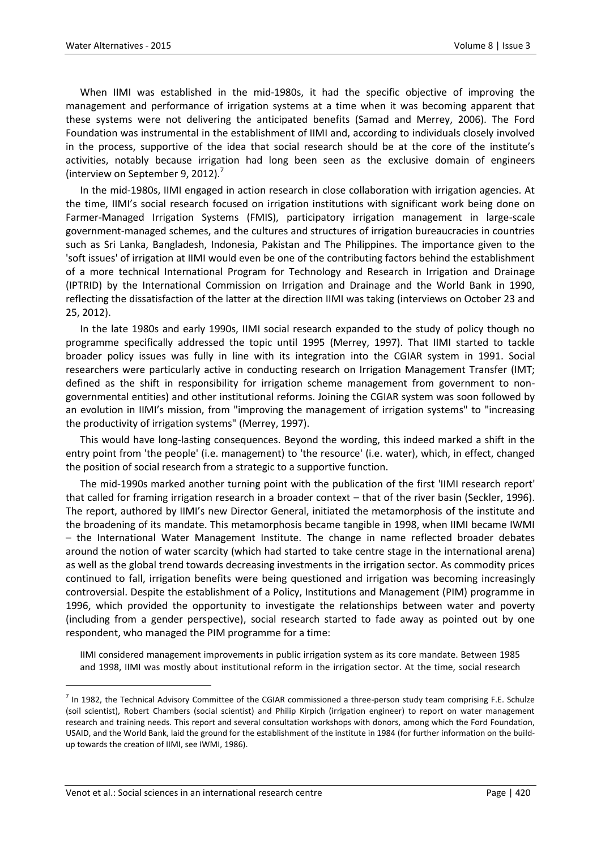When IIMI was established in the mid-1980s, it had the specific objective of improving the management and performance of irrigation systems at a time when it was becoming apparent that these systems were not delivering the anticipated benefits (Samad and Merrey, 2006). The Ford Foundation was instrumental in the establishment of IIMI and, according to individuals closely involved in the process, supportive of the idea that social research should be at the core of the institute's activities, notably because irrigation had long been seen as the exclusive domain of engineers (interview on September 9, 2012). $'$ 

In the mid-1980s, IIMI engaged in action research in close collaboration with irrigation agencies. At the time, IIMI's social research focused on irrigation institutions with significant work being done on Farmer-Managed Irrigation Systems (FMIS), participatory irrigation management in large-scale government-managed schemes, and the cultures and structures of irrigation bureaucracies in countries such as Sri Lanka, Bangladesh, Indonesia, Pakistan and The Philippines. The importance given to the 'soft issues' of irrigation at IIMI would even be one of the contributing factors behind the establishment of a more technical International Program for Technology and Research in Irrigation and Drainage (IPTRID) by the International Commission on Irrigation and Drainage and the World Bank in 1990, reflecting the dissatisfaction of the latter at the direction IIMI was taking (interviews on October 23 and 25, 2012).

In the late 1980s and early 1990s, IIMI social research expanded to the study of policy though no programme specifically addressed the topic until 1995 (Merrey, 1997). That IIMI started to tackle broader policy issues was fully in line with its integration into the CGIAR system in 1991. Social researchers were particularly active in conducting research on Irrigation Management Transfer (IMT; defined as the shift in responsibility for irrigation scheme management from government to nongovernmental entities) and other institutional reforms. Joining the CGIAR system was soon followed by an evolution in IIMI's mission, from "improving the management of irrigation systems" to "increasing the productivity of irrigation systems" (Merrey, 1997).

This would have long-lasting consequences. Beyond the wording, this indeed marked a shift in the entry point from 'the people' (i.e. management) to 'the resource' (i.e. water), which, in effect, changed the position of social research from a strategic to a supportive function.

The mid-1990s marked another turning point with the publication of the first 'IIMI research report' that called for framing irrigation research in a broader context – that of the river basin (Seckler, 1996). The report, authored by IIMI's new Director General, initiated the metamorphosis of the institute and the broadening of its mandate. This metamorphosis became tangible in 1998, when IIMI became IWMI – the International Water Management Institute. The change in name reflected broader debates around the notion of water scarcity (which had started to take centre stage in the international arena) as well as the global trend towards decreasing investments in the irrigation sector. As commodity prices continued to fall, irrigation benefits were being questioned and irrigation was becoming increasingly controversial. Despite the establishment of a Policy, Institutions and Management (PIM) programme in 1996, which provided the opportunity to investigate the relationships between water and poverty (including from a gender perspective), social research started to fade away as pointed out by one respondent, who managed the PIM programme for a time:

IIMI considered management improvements in public irrigation system as its core mandate. Between 1985 and 1998, IIMI was mostly about institutional reform in the irrigation sector. At the time, social research

 $^7$  In 1982, the Technical Advisory Committee of the CGIAR commissioned a three-person study team comprising F.E. Schulze (soil scientist), Robert Chambers (social scientist) and Philip Kirpich (irrigation engineer) to report on water management research and training needs. This report and several consultation workshops with donors, among which the Ford Foundation, USAID, and the World Bank, laid the ground for the establishment of the institute in 1984 (for further information on the buildup towards the creation of IIMI, see IWMI, 1986).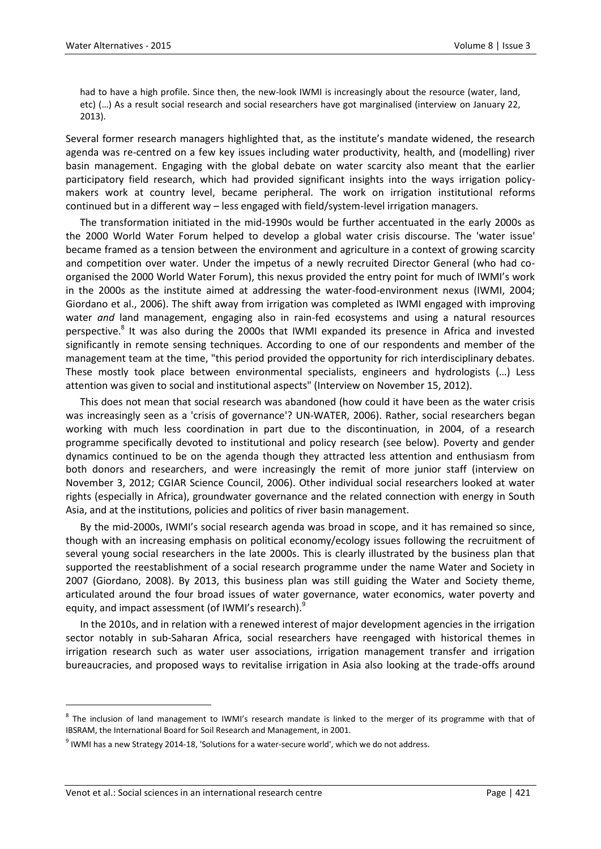had to have a high profile. Since then, the new-look IWMI is increasingly about the resource (water, land, etc) (…) As a result social research and social researchers have got marginalised (interview on January 22, 2013).

Several former research managers highlighted that, as the institute's mandate widened, the research agenda was re-centred on a few key issues including water productivity, health, and (modelling) river basin management. Engaging with the global debate on water scarcity also meant that the earlier participatory field research, which had provided significant insights into the ways irrigation policymakers work at country level, became peripheral. The work on irrigation institutional reforms continued but in a different way – less engaged with field/system-level irrigation managers.

The transformation initiated in the mid-1990s would be further accentuated in the early 2000s as the 2000 World Water Forum helped to develop a global water crisis discourse. The 'water issue' became framed as a tension between the environment and agriculture in a context of growing scarcity and competition over water. Under the impetus of a newly recruited Director General (who had coorganised the 2000 World Water Forum), this nexus provided the entry point for much of IWMI's work in the 2000s as the institute aimed at addressing the water-food-environment nexus (IWMI, 2004; Giordano et al., 2006). The shift away from irrigation was completed as IWMI engaged with improving water *and* land management, engaging also in rain-fed ecosystems and using a natural resources perspective.<sup>8</sup> It was also during the 2000s that IWMI expanded its presence in Africa and invested significantly in remote sensing techniques. According to one of our respondents and member of the management team at the time, "this period provided the opportunity for rich interdisciplinary debates. These mostly took place between environmental specialists, engineers and hydrologists (…) Less attention was given to social and institutional aspects" (Interview on November 15, 2012).

This does not mean that social research was abandoned (how could it have been as the water crisis was increasingly seen as a 'crisis of governance'? UN-WATER, 2006). Rather, social researchers began working with much less coordination in part due to the discontinuation, in 2004, of a research programme specifically devoted to institutional and policy research (see below). Poverty and gender dynamics continued to be on the agenda though they attracted less attention and enthusiasm from both donors and researchers, and were increasingly the remit of more junior staff (interview on November 3, 2012; CGIAR Science Council, 2006). Other individual social researchers looked at water rights (especially in Africa), groundwater governance and the related connection with energy in South Asia, and at the institutions, policies and politics of river basin management.

By the mid-2000s, IWMI's social research agenda was broad in scope, and it has remained so since, though with an increasing emphasis on political economy/ecology issues following the recruitment of several young social researchers in the late 2000s. This is clearly illustrated by the business plan that supported the reestablishment of a social research programme under the name Water and Society in 2007 (Giordano, 2008). By 2013, this business plan was still guiding the Water and Society theme, articulated around the four broad issues of water governance, water economics, water poverty and equity, and impact assessment (of IWMI's research).

In the 2010s, and in relation with a renewed interest of major development agencies in the irrigation sector notably in sub-Saharan Africa, social researchers have reengaged with historical themes in irrigation research such as water user associations, irrigation management transfer and irrigation bureaucracies, and proposed ways to revitalise irrigation in Asia also looking at the trade-offs around

<sup>&</sup>lt;sup>8</sup> The inclusion of land management to IWMI's research mandate is linked to the merger of its programme with that of IBSRAM, the International Board for Soil Research and Management, in 2001.

 $^9$  IWMI has a new Strategy 2014-18, 'Solutions for a water-secure world', which we do not address.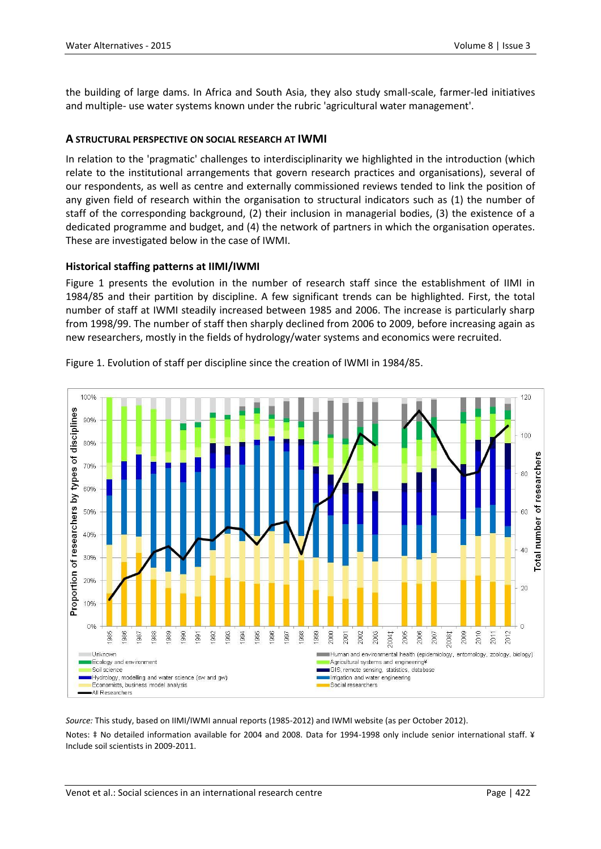the building of large dams. In Africa and South Asia, they also study small-scale, farmer-led initiatives and multiple- use water systems known under the rubric 'agricultural water management'.

### **A STRUCTURAL PERSPECTIVE ON SOCIAL RESEARCH AT IWMI**

In relation to the 'pragmatic' challenges to interdisciplinarity we highlighted in the introduction (which relate to the institutional arrangements that govern research practices and organisations), several of our respondents, as well as centre and externally commissioned reviews tended to link the position of any given field of research within the organisation to structural indicators such as (1) the number of staff of the corresponding background, (2) their inclusion in managerial bodies, (3) the existence of a dedicated programme and budget, and (4) the network of partners in which the organisation operates. These are investigated below in the case of IWMI.

#### **Historical staffing patterns at IIMI/IWMI**

Figure 1 presents the evolution in the number of research staff since the establishment of IIMI in 1984/85 and their partition by discipline. A few significant trends can be highlighted. First, the total number of staff at IWMI steadily increased between 1985 and 2006. The increase is particularly sharp from 1998/99. The number of staff then sharply declined from 2006 to 2009, before increasing again as new researchers, mostly in the fields of hydrology/water systems and economics were recruited.



Figure 1. Evolution of staff per discipline since the creation of IWMI in 1984/85.

*Source:* This study, based on IIMI/IWMI annual reports (1985-2012) and IWMI website (as per October 2012). Notes: ‡ No detailed information available for 2004 and 2008. Data for 1994-1998 only include senior international staff. ¥ Include soil scientists in 2009-2011.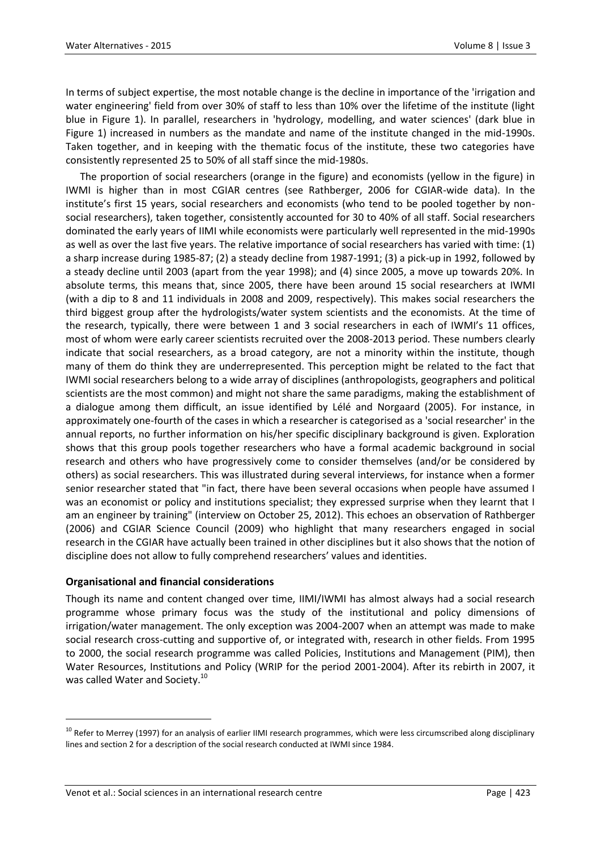In terms of subject expertise, the most notable change is the decline in importance of the 'irrigation and water engineering' field from over 30% of staff to less than 10% over the lifetime of the institute (light blue in Figure 1). In parallel, researchers in 'hydrology, modelling, and water sciences' (dark blue in Figure 1) increased in numbers as the mandate and name of the institute changed in the mid-1990s. Taken together, and in keeping with the thematic focus of the institute, these two categories have consistently represented 25 to 50% of all staff since the mid-1980s.

The proportion of social researchers (orange in the figure) and economists (yellow in the figure) in IWMI is higher than in most CGIAR centres (see Rathberger, 2006 for CGIAR-wide data). In the institute's first 15 years, social researchers and economists (who tend to be pooled together by nonsocial researchers), taken together, consistently accounted for 30 to 40% of all staff. Social researchers dominated the early years of IIMI while economists were particularly well represented in the mid-1990s as well as over the last five years. The relative importance of social researchers has varied with time: (1) a sharp increase during 1985-87; (2) a steady decline from 1987-1991; (3) a pick-up in 1992, followed by a steady decline until 2003 (apart from the year 1998); and (4) since 2005, a move up towards 20%. In absolute terms, this means that, since 2005, there have been around 15 social researchers at IWMI (with a dip to 8 and 11 individuals in 2008 and 2009, respectively). This makes social researchers the third biggest group after the hydrologists/water system scientists and the economists. At the time of the research, typically, there were between 1 and 3 social researchers in each of IWMI's 11 offices, most of whom were early career scientists recruited over the 2008-2013 period. These numbers clearly indicate that social researchers, as a broad category, are not a minority within the institute, though many of them do think they are underrepresented. This perception might be related to the fact that IWMI social researchers belong to a wide array of disciplines (anthropologists, geographers and political scientists are the most common) and might not share the same paradigms, making the establishment of a dialogue among them difficult, an issue identified by Lélé and Norgaard (2005). For instance, in approximately one-fourth of the cases in which a researcher is categorised as a 'social researcher' in the annual reports, no further information on his/her specific disciplinary background is given. Exploration shows that this group pools together researchers who have a formal academic background in social research and others who have progressively come to consider themselves (and/or be considered by others) as social researchers. This was illustrated during several interviews, for instance when a former senior researcher stated that "in fact, there have been several occasions when people have assumed I was an economist or policy and institutions specialist; they expressed surprise when they learnt that I am an engineer by training" (interview on October 25, 2012). This echoes an observation of Rathberger (2006) and CGIAR Science Council (2009) who highlight that many researchers engaged in social research in the CGIAR have actually been trained in other disciplines but it also shows that the notion of discipline does not allow to fully comprehend researchers' values and identities.

#### **Organisational and financial considerations**

 $\overline{a}$ 

Though its name and content changed over time, IIMI/IWMI has almost always had a social research programme whose primary focus was the study of the institutional and policy dimensions of irrigation/water management. The only exception was 2004-2007 when an attempt was made to make social research cross-cutting and supportive of, or integrated with, research in other fields. From 1995 to 2000, the social research programme was called Policies, Institutions and Management (PIM), then Water Resources, Institutions and Policy (WRIP for the period 2001-2004). After its rebirth in 2007, it was called Water and Society.<sup>10</sup>

<sup>&</sup>lt;sup>10</sup> Refer to Merrey (1997) for an analysis of earlier IIMI research programmes, which were less circumscribed along disciplinary lines and section 2 for a description of the social research conducted at IWMI since 1984.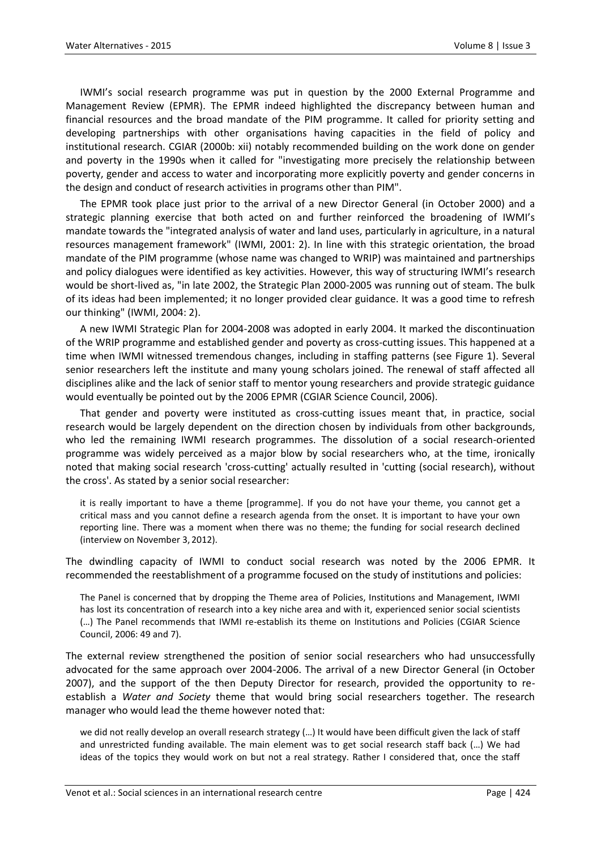IWMI's social research programme was put in question by the 2000 External Programme and Management Review (EPMR). The EPMR indeed highlighted the discrepancy between human and financial resources and the broad mandate of the PIM programme. It called for priority setting and developing partnerships with other organisations having capacities in the field of policy and institutional research. CGIAR (2000b: xii) notably recommended building on the work done on gender and poverty in the 1990s when it called for "investigating more precisely the relationship between poverty, gender and access to water and incorporating more explicitly poverty and gender concerns in the design and conduct of research activities in programs other than PIM".

The EPMR took place just prior to the arrival of a new Director General (in October 2000) and a strategic planning exercise that both acted on and further reinforced the broadening of IWMI's mandate towards the "integrated analysis of water and land uses, particularly in agriculture, in a natural resources management framework" (IWMI, 2001: 2). In line with this strategic orientation, the broad mandate of the PIM programme (whose name was changed to WRIP) was maintained and partnerships and policy dialogues were identified as key activities. However, this way of structuring IWMI's research would be short-lived as, "in late 2002, the Strategic Plan 2000-2005 was running out of steam. The bulk of its ideas had been implemented; it no longer provided clear guidance. It was a good time to refresh our thinking" (IWMI, 2004: 2).

A new IWMI Strategic Plan for 2004-2008 was adopted in early 2004. It marked the discontinuation of the WRIP programme and established gender and poverty as cross-cutting issues. This happened at a time when IWMI witnessed tremendous changes, including in staffing patterns (see Figure 1). Several senior researchers left the institute and many young scholars joined. The renewal of staff affected all disciplines alike and the lack of senior staff to mentor young researchers and provide strategic guidance would eventually be pointed out by the 2006 EPMR (CGIAR Science Council, 2006).

That gender and poverty were instituted as cross-cutting issues meant that, in practice, social research would be largely dependent on the direction chosen by individuals from other backgrounds, who led the remaining IWMI research programmes. The dissolution of a social research-oriented programme was widely perceived as a major blow by social researchers who, at the time, ironically noted that making social research 'cross-cutting' actually resulted in 'cutting (social research), without the cross'. As stated by a senior social researcher:

it is really important to have a theme [programme]. If you do not have your theme, you cannot get a critical mass and you cannot define a research agenda from the onset. It is important to have your own reporting line. There was a moment when there was no theme; the funding for social research declined (interview on November 3, 2012).

The dwindling capacity of IWMI to conduct social research was noted by the 2006 EPMR. It recommended the reestablishment of a programme focused on the study of institutions and policies:

The Panel is concerned that by dropping the Theme area of Policies, Institutions and Management, IWMI has lost its concentration of research into a key niche area and with it, experienced senior social scientists (…) The Panel recommends that IWMI re-establish its theme on Institutions and Policies (CGIAR Science Council, 2006: 49 and 7).

The external review strengthened the position of senior social researchers who had unsuccessfully advocated for the same approach over 2004-2006. The arrival of a new Director General (in October 2007), and the support of the then Deputy Director for research, provided the opportunity to reestablish a *Water and Society* theme that would bring social researchers together. The research manager who would lead the theme however noted that:

we did not really develop an overall research strategy (…) It would have been difficult given the lack of staff and unrestricted funding available. The main element was to get social research staff back (…) We had ideas of the topics they would work on but not a real strategy. Rather I considered that, once the staff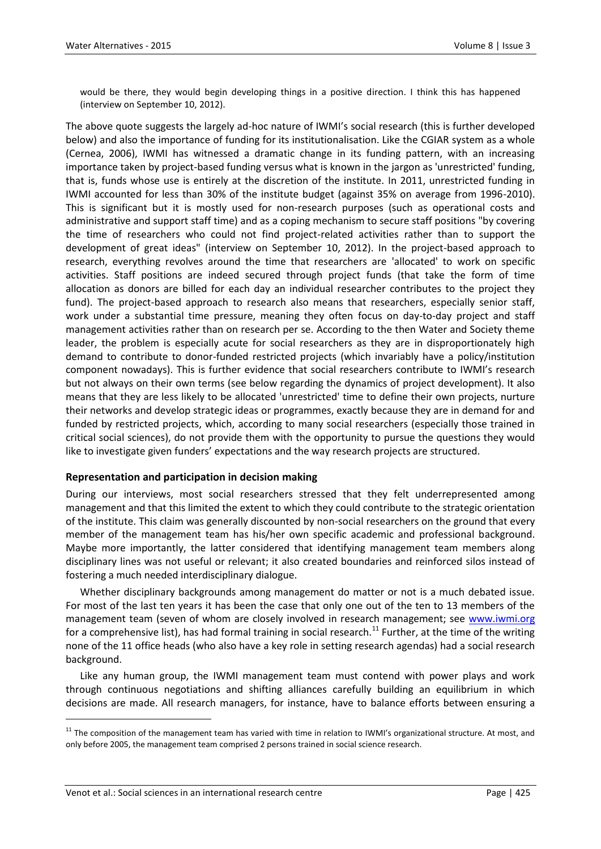would be there, they would begin developing things in a positive direction. I think this has happened (interview on September 10, 2012).

The above quote suggests the largely ad-hoc nature of IWMI's social research (this is further developed below) and also the importance of funding for its institutionalisation. Like the CGIAR system as a whole (Cernea, 2006), IWMI has witnessed a dramatic change in its funding pattern, with an increasing importance taken by project-based funding versus what is known in the jargon as 'unrestricted' funding, that is, funds whose use is entirely at the discretion of the institute. In 2011, unrestricted funding in IWMI accounted for less than 30% of the institute budget (against 35% on average from 1996-2010). This is significant but it is mostly used for non-research purposes (such as operational costs and administrative and support staff time) and as a coping mechanism to secure staff positions "by covering the time of researchers who could not find project-related activities rather than to support the development of great ideas" (interview on September 10, 2012). In the project-based approach to research, everything revolves around the time that researchers are 'allocated' to work on specific activities. Staff positions are indeed secured through project funds (that take the form of time allocation as donors are billed for each day an individual researcher contributes to the project they fund). The project-based approach to research also means that researchers, especially senior staff, work under a substantial time pressure, meaning they often focus on day-to-day project and staff management activities rather than on research per se. According to the then Water and Society theme leader, the problem is especially acute for social researchers as they are in disproportionately high demand to contribute to donor-funded restricted projects (which invariably have a policy/institution component nowadays). This is further evidence that social researchers contribute to IWMI's research but not always on their own terms (see below regarding the dynamics of project development). It also means that they are less likely to be allocated 'unrestricted' time to define their own projects, nurture their networks and develop strategic ideas or programmes, exactly because they are in demand for and funded by restricted projects, which, according to many social researchers (especially those trained in critical social sciences), do not provide them with the opportunity to pursue the questions they would like to investigate given funders' expectations and the way research projects are structured.

#### **Representation and participation in decision making**

During our interviews, most social researchers stressed that they felt underrepresented among management and that this limited the extent to which they could contribute to the strategic orientation of the institute. This claim was generally discounted by non-social researchers on the ground that every member of the management team has his/her own specific academic and professional background. Maybe more importantly, the latter considered that identifying management team members along disciplinary lines was not useful or relevant; it also created boundaries and reinforced silos instead of fostering a much needed interdisciplinary dialogue.

Whether disciplinary backgrounds among management do matter or not is a much debated issue. For most of the last ten years it has been the case that only one out of the ten to 13 members of the management team (seven of whom are closely involved in research management; see [www.iwmi.org](http://www.iwmi.org/) for a comprehensive list), has had formal training in social research.<sup>11</sup> Further, at the time of the writing none of the 11 office heads (who also have a key role in setting research agendas) had a social research background.

Like any human group, the IWMI management team must contend with power plays and work through continuous negotiations and shifting alliances carefully building an equilibrium in which decisions are made. All research managers, for instance, have to balance efforts between ensuring a

<sup>&</sup>lt;sup>11</sup> The composition of the management team has varied with time in relation to IWMI's organizational structure. At most, and only before 2005, the management team comprised 2 persons trained in social science research.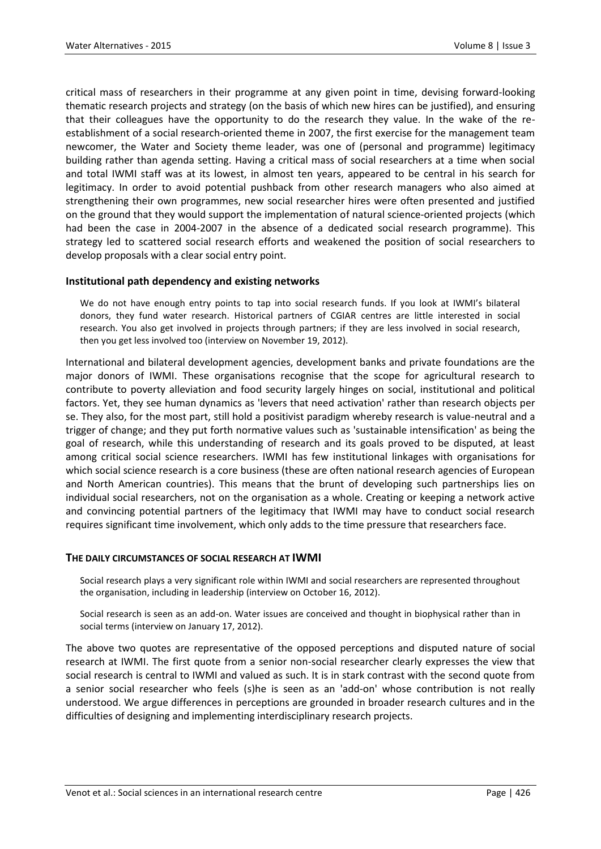critical mass of researchers in their programme at any given point in time, devising forward-looking thematic research projects and strategy (on the basis of which new hires can be justified), and ensuring that their colleagues have the opportunity to do the research they value. In the wake of the reestablishment of a social research-oriented theme in 2007, the first exercise for the management team newcomer, the Water and Society theme leader, was one of (personal and programme) legitimacy building rather than agenda setting. Having a critical mass of social researchers at a time when social and total IWMI staff was at its lowest, in almost ten years, appeared to be central in his search for legitimacy. In order to avoid potential pushback from other research managers who also aimed at strengthening their own programmes, new social researcher hires were often presented and justified on the ground that they would support the implementation of natural science-oriented projects (which had been the case in 2004-2007 in the absence of a dedicated social research programme). This strategy led to scattered social research efforts and weakened the position of social researchers to develop proposals with a clear social entry point.

#### **Institutional path dependency and existing networks**

We do not have enough entry points to tap into social research funds. If you look at IWMI's bilateral donors, they fund water research. Historical partners of CGIAR centres are little interested in social research. You also get involved in projects through partners; if they are less involved in social research, then you get less involved too (interview on November 19, 2012).

International and bilateral development agencies, development banks and private foundations are the major donors of IWMI. These organisations recognise that the scope for agricultural research to contribute to poverty alleviation and food security largely hinges on social, institutional and political factors. Yet, they see human dynamics as 'levers that need activation' rather than research objects per se. They also, for the most part, still hold a positivist paradigm whereby research is value-neutral and a trigger of change; and they put forth normative values such as 'sustainable intensification' as being the goal of research, while this understanding of research and its goals proved to be disputed, at least among critical social science researchers. IWMI has few institutional linkages with organisations for which social science research is a core business (these are often national research agencies of European and North American countries). This means that the brunt of developing such partnerships lies on individual social researchers, not on the organisation as a whole. Creating or keeping a network active and convincing potential partners of the legitimacy that IWMI may have to conduct social research requires significant time involvement, which only adds to the time pressure that researchers face.

#### **THE DAILY CIRCUMSTANCES OF SOCIAL RESEARCH AT IWMI**

Social research plays a very significant role within IWMI and social researchers are represented throughout the organisation, including in leadership (interview on October 16, 2012).

Social research is seen as an add-on. Water issues are conceived and thought in biophysical rather than in social terms (interview on January 17, 2012).

The above two quotes are representative of the opposed perceptions and disputed nature of social research at IWMI. The first quote from a senior non-social researcher clearly expresses the view that social research is central to IWMI and valued as such. It is in stark contrast with the second quote from a senior social researcher who feels (s)he is seen as an 'add-on' whose contribution is not really understood. We argue differences in perceptions are grounded in broader research cultures and in the difficulties of designing and implementing interdisciplinary research projects.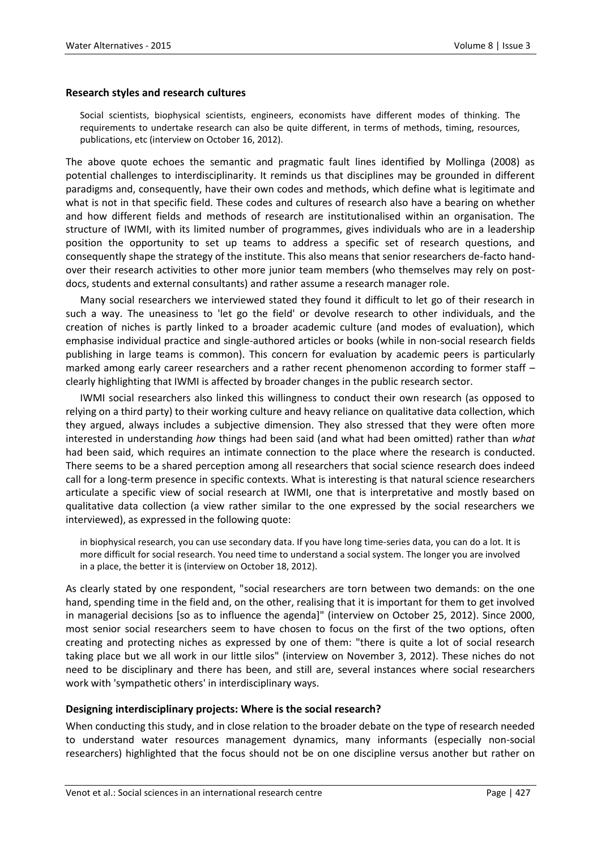#### **Research styles and research cultures**

Social scientists, biophysical scientists, engineers, economists have different modes of thinking. The requirements to undertake research can also be quite different, in terms of methods, timing, resources, publications, etc (interview on October 16, 2012).

The above quote echoes the semantic and pragmatic fault lines identified by Mollinga (2008) as potential challenges to interdisciplinarity. It reminds us that disciplines may be grounded in different paradigms and, consequently, have their own codes and methods, which define what is legitimate and what is not in that specific field. These codes and cultures of research also have a bearing on whether and how different fields and methods of research are institutionalised within an organisation. The structure of IWMI, with its limited number of programmes, gives individuals who are in a leadership position the opportunity to set up teams to address a specific set of research questions, and consequently shape the strategy of the institute. This also means that senior researchers de-facto handover their research activities to other more junior team members (who themselves may rely on postdocs, students and external consultants) and rather assume a research manager role.

Many social researchers we interviewed stated they found it difficult to let go of their research in such a way. The uneasiness to 'let go the field' or devolve research to other individuals, and the creation of niches is partly linked to a broader academic culture (and modes of evaluation), which emphasise individual practice and single-authored articles or books (while in non-social research fields publishing in large teams is common). This concern for evaluation by academic peers is particularly marked among early career researchers and a rather recent phenomenon according to former staff – clearly highlighting that IWMI is affected by broader changes in the public research sector.

IWMI social researchers also linked this willingness to conduct their own research (as opposed to relying on a third party) to their working culture and heavy reliance on qualitative data collection, which they argued, always includes a subjective dimension. They also stressed that they were often more interested in understanding *how* things had been said (and what had been omitted) rather than *what* had been said, which requires an intimate connection to the place where the research is conducted. There seems to be a shared perception among all researchers that social science research does indeed call for a long-term presence in specific contexts. What is interesting is that natural science researchers articulate a specific view of social research at IWMI, one that is interpretative and mostly based on qualitative data collection (a view rather similar to the one expressed by the social researchers we interviewed), as expressed in the following quote:

in biophysical research, you can use secondary data. If you have long time-series data, you can do a lot. It is more difficult for social research. You need time to understand a social system. The longer you are involved in a place, the better it is (interview on October 18, 2012).

As clearly stated by one respondent, "social researchers are torn between two demands: on the one hand, spending time in the field and, on the other, realising that it is important for them to get involved in managerial decisions [so as to influence the agenda]" (interview on October 25, 2012). Since 2000, most senior social researchers seem to have chosen to focus on the first of the two options, often creating and protecting niches as expressed by one of them: "there is quite a lot of social research taking place but we all work in our little silos" (interview on November 3, 2012). These niches do not need to be disciplinary and there has been, and still are, several instances where social researchers work with 'sympathetic others' in interdisciplinary ways.

#### **Designing interdisciplinary projects: Where is the social research?**

When conducting this study, and in close relation to the broader debate on the type of research needed to understand water resources management dynamics, many informants (especially non-social researchers) highlighted that the focus should not be on one discipline versus another but rather on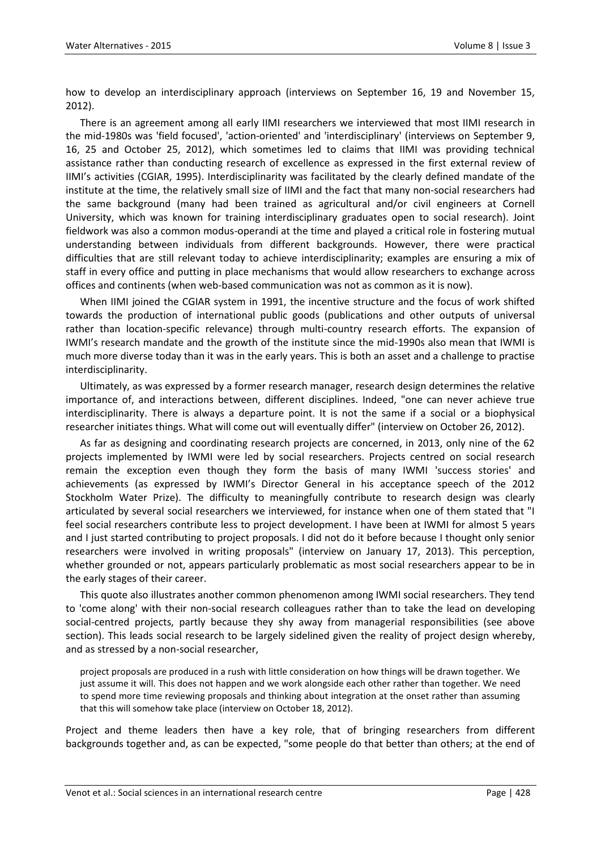how to develop an interdisciplinary approach (interviews on September 16, 19 and November 15, 2012).

There is an agreement among all early IIMI researchers we interviewed that most IIMI research in the mid-1980s was 'field focused', 'action-oriented' and 'interdisciplinary' (interviews on September 9, 16, 25 and October 25, 2012), which sometimes led to claims that IIMI was providing technical assistance rather than conducting research of excellence as expressed in the first external review of IIMI's activities (CGIAR, 1995). Interdisciplinarity was facilitated by the clearly defined mandate of the institute at the time, the relatively small size of IIMI and the fact that many non-social researchers had the same background (many had been trained as agricultural and/or civil engineers at Cornell University, which was known for training interdisciplinary graduates open to social research). Joint fieldwork was also a common modus-operandi at the time and played a critical role in fostering mutual understanding between individuals from different backgrounds. However, there were practical difficulties that are still relevant today to achieve interdisciplinarity; examples are ensuring a mix of staff in every office and putting in place mechanisms that would allow researchers to exchange across offices and continents (when web-based communication was not as common as it is now).

When IIMI joined the CGIAR system in 1991, the incentive structure and the focus of work shifted towards the production of international public goods (publications and other outputs of universal rather than location-specific relevance) through multi-country research efforts. The expansion of IWMI's research mandate and the growth of the institute since the mid-1990s also mean that IWMI is much more diverse today than it was in the early years. This is both an asset and a challenge to practise interdisciplinarity.

Ultimately, as was expressed by a former research manager, research design determines the relative importance of, and interactions between, different disciplines. Indeed, "one can never achieve true interdisciplinarity. There is always a departure point. It is not the same if a social or a biophysical researcher initiates things. What will come out will eventually differ" (interview on October 26, 2012).

As far as designing and coordinating research projects are concerned, in 2013, only nine of the 62 projects implemented by IWMI were led by social researchers. Projects centred on social research remain the exception even though they form the basis of many IWMI 'success stories' and achievements (as expressed by IWMI's Director General in his acceptance speech of the 2012 Stockholm Water Prize). The difficulty to meaningfully contribute to research design was clearly articulated by several social researchers we interviewed, for instance when one of them stated that "I feel social researchers contribute less to project development. I have been at IWMI for almost 5 years and I just started contributing to project proposals. I did not do it before because I thought only senior researchers were involved in writing proposals" (interview on January 17, 2013). This perception, whether grounded or not, appears particularly problematic as most social researchers appear to be in the early stages of their career.

This quote also illustrates another common phenomenon among IWMI social researchers. They tend to 'come along' with their non-social research colleagues rather than to take the lead on developing social-centred projects, partly because they shy away from managerial responsibilities (see above section). This leads social research to be largely sidelined given the reality of project design whereby, and as stressed by a non-social researcher,

project proposals are produced in a rush with little consideration on how things will be drawn together. We just assume it will. This does not happen and we work alongside each other rather than together. We need to spend more time reviewing proposals and thinking about integration at the onset rather than assuming that this will somehow take place (interview on October 18, 2012).

Project and theme leaders then have a key role, that of bringing researchers from different backgrounds together and, as can be expected, "some people do that better than others; at the end of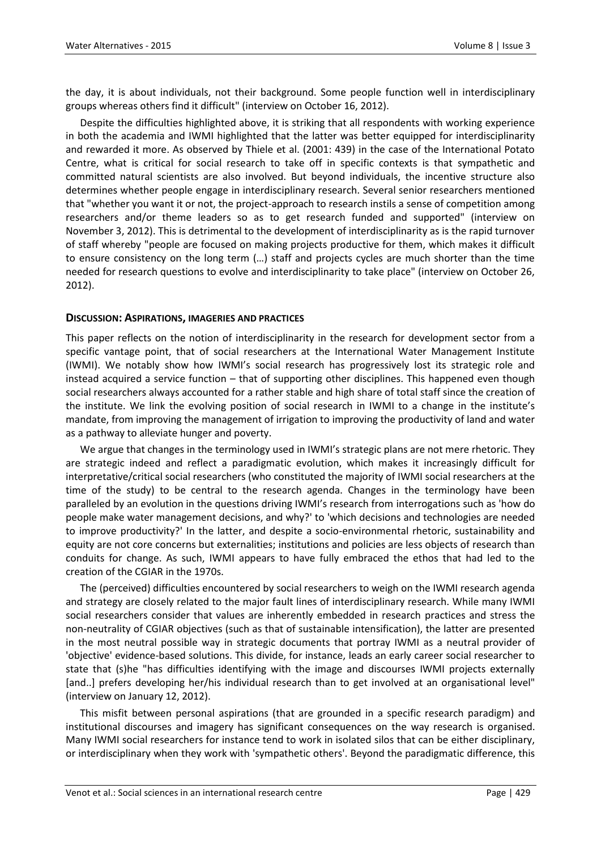the day, it is about individuals, not their background. Some people function well in interdisciplinary groups whereas others find it difficult" (interview on October 16, 2012).

Despite the difficulties highlighted above, it is striking that all respondents with working experience in both the academia and IWMI highlighted that the latter was better equipped for interdisciplinarity and rewarded it more. As observed by Thiele et al. (2001: 439) in the case of the International Potato Centre, what is critical for social research to take off in specific contexts is that sympathetic and committed natural scientists are also involved. But beyond individuals, the incentive structure also determines whether people engage in interdisciplinary research. Several senior researchers mentioned that "whether you want it or not, the project-approach to research instils a sense of competition among researchers and/or theme leaders so as to get research funded and supported" (interview on November 3, 2012). This is detrimental to the development of interdisciplinarity as is the rapid turnover of staff whereby "people are focused on making projects productive for them, which makes it difficult to ensure consistency on the long term (…) staff and projects cycles are much shorter than the time needed for research questions to evolve and interdisciplinarity to take place" (interview on October 26, 2012).

#### **DISCUSSION: ASPIRATIONS, IMAGERIES AND PRACTICES**

This paper reflects on the notion of interdisciplinarity in the research for development sector from a specific vantage point, that of social researchers at the International Water Management Institute (IWMI). We notably show how IWMI's social research has progressively lost its strategic role and instead acquired a service function – that of supporting other disciplines. This happened even though social researchers always accounted for a rather stable and high share of total staff since the creation of the institute. We link the evolving position of social research in IWMI to a change in the institute's mandate, from improving the management of irrigation to improving the productivity of land and water as a pathway to alleviate hunger and poverty.

We argue that changes in the terminology used in IWMI's strategic plans are not mere rhetoric. They are strategic indeed and reflect a paradigmatic evolution, which makes it increasingly difficult for interpretative/critical social researchers (who constituted the majority of IWMI social researchers at the time of the study) to be central to the research agenda. Changes in the terminology have been paralleled by an evolution in the questions driving IWMI's research from interrogations such as 'how do people make water management decisions, and why?' to 'which decisions and technologies are needed to improve productivity?' In the latter, and despite a socio-environmental rhetoric, sustainability and equity are not core concerns but externalities; institutions and policies are less objects of research than conduits for change. As such, IWMI appears to have fully embraced the ethos that had led to the creation of the CGIAR in the 1970s.

The (perceived) difficulties encountered by social researchers to weigh on the IWMI research agenda and strategy are closely related to the major fault lines of interdisciplinary research. While many IWMI social researchers consider that values are inherently embedded in research practices and stress the non-neutrality of CGIAR objectives (such as that of sustainable intensification), the latter are presented in the most neutral possible way in strategic documents that portray IWMI as a neutral provider of 'objective' evidence-based solutions. This divide, for instance, leads an early career social researcher to state that (s)he "has difficulties identifying with the image and discourses IWMI projects externally [and..] prefers developing her/his individual research than to get involved at an organisational level" (interview on January 12, 2012).

This misfit between personal aspirations (that are grounded in a specific research paradigm) and institutional discourses and imagery has significant consequences on the way research is organised. Many IWMI social researchers for instance tend to work in isolated silos that can be either disciplinary, or interdisciplinary when they work with 'sympathetic others'. Beyond the paradigmatic difference, this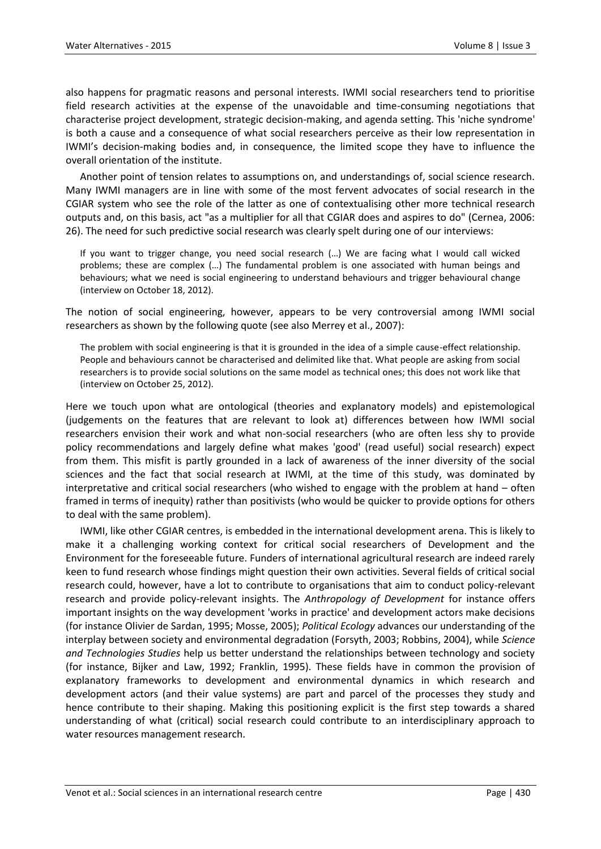also happens for pragmatic reasons and personal interests. IWMI social researchers tend to prioritise field research activities at the expense of the unavoidable and time-consuming negotiations that characterise project development, strategic decision-making, and agenda setting. This 'niche syndrome' is both a cause and a consequence of what social researchers perceive as their low representation in IWMI's decision-making bodies and, in consequence, the limited scope they have to influence the overall orientation of the institute.

Another point of tension relates to assumptions on, and understandings of, social science research. Many IWMI managers are in line with some of the most fervent advocates of social research in the CGIAR system who see the role of the latter as one of contextualising other more technical research outputs and, on this basis, act "as a multiplier for all that CGIAR does and aspires to do" (Cernea, 2006: 26). The need for such predictive social research was clearly spelt during one of our interviews:

If you want to trigger change, you need social research (…) We are facing what I would call wicked problems; these are complex (…) The fundamental problem is one associated with human beings and behaviours; what we need is social engineering to understand behaviours and trigger behavioural change (interview on October 18, 2012).

The notion of social engineering, however, appears to be very controversial among IWMI social researchers as shown by the following quote (see also Merrey et al., 2007):

The problem with social engineering is that it is grounded in the idea of a simple cause-effect relationship. People and behaviours cannot be characterised and delimited like that. What people are asking from social researchers is to provide social solutions on the same model as technical ones; this does not work like that (interview on October 25, 2012).

Here we touch upon what are ontological (theories and explanatory models) and epistemological (judgements on the features that are relevant to look at) differences between how IWMI social researchers envision their work and what non-social researchers (who are often less shy to provide policy recommendations and largely define what makes 'good' (read useful) social research) expect from them. This misfit is partly grounded in a lack of awareness of the inner diversity of the social sciences and the fact that social research at IWMI, at the time of this study, was dominated by interpretative and critical social researchers (who wished to engage with the problem at hand – often framed in terms of inequity) rather than positivists (who would be quicker to provide options for others to deal with the same problem).

IWMI, like other CGIAR centres, is embedded in the international development arena. This is likely to make it a challenging working context for critical social researchers of Development and the Environment for the foreseeable future. Funders of international agricultural research are indeed rarely keen to fund research whose findings might question their own activities. Several fields of critical social research could, however, have a lot to contribute to organisations that aim to conduct policy-relevant research and provide policy-relevant insights. The *Anthropology of Development* for instance offers important insights on the way development 'works in practice' and development actors make decisions (for instance Olivier de Sardan, 1995; Mosse, 2005); *Political Ecology* advances our understanding of the interplay between society and environmental degradation (Forsyth, 2003; Robbins, 2004), while *Science and Technologies Studies* help us better understand the relationships between technology and society (for instance, Bijker and Law, 1992; Franklin, 1995). These fields have in common the provision of explanatory frameworks to development and environmental dynamics in which research and development actors (and their value systems) are part and parcel of the processes they study and hence contribute to their shaping. Making this positioning explicit is the first step towards a shared understanding of what (critical) social research could contribute to an interdisciplinary approach to water resources management research.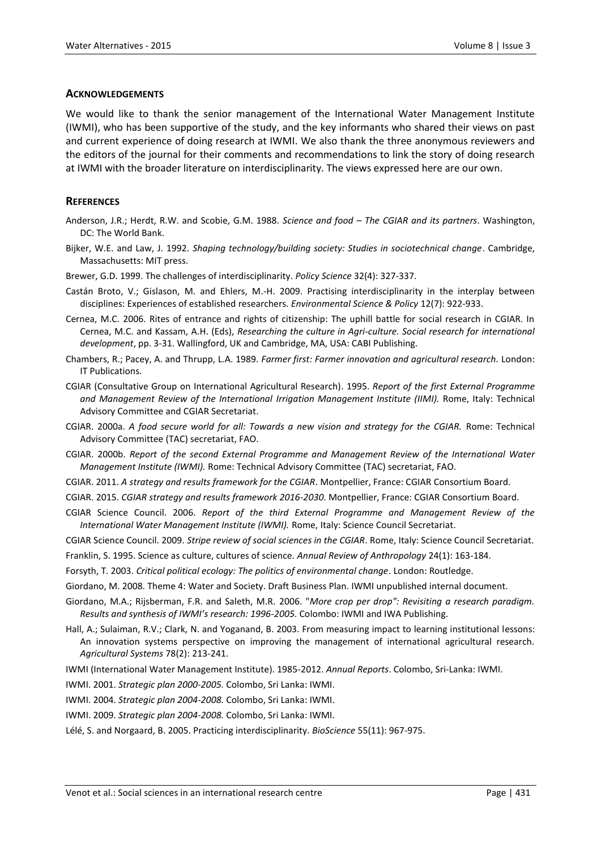#### **ACKNOWLEDGEMENTS**

We would like to thank the senior management of the International Water Management Institute (IWMI), who has been supportive of the study, and the key informants who shared their views on past and current experience of doing research at IWMI. We also thank the three anonymous reviewers and the editors of the journal for their comments and recommendations to link the story of doing research at IWMI with the broader literature on interdisciplinarity. The views expressed here are our own.

#### **REFERENCES**

- Anderson, J.R.; Herdt, R.W. and Scobie, G.M. 1988. *Science and food – The CGIAR and its partners*. Washington, DC: The World Bank.
- Bijker, W.E. and Law, J. 1992. *Shaping technology/building society: Studies in sociotechnical change*. Cambridge, Massachusetts: MIT press.
- Brewer, G.D. 1999. The challenges of interdisciplinarity. *Policy Science* 32(4): 327-337.
- Castán Broto, V.; Gislason, M. and Ehlers, M.-H. 2009. Practising interdisciplinarity in the interplay between disciplines: Experiences of established researchers. *Environmental Science & Policy* 12(7): 922-933.
- Cernea, M.C. 2006. Rites of entrance and rights of citizenship: The uphill battle for social research in CGIAR. In Cernea, M.C. and Kassam, A.H. (Eds), *Researching the culture in Agri-culture. Social research for international development*, pp. 3-31. Wallingford, UK and Cambridge, MA, USA: CABI Publishing.
- Chambers, R.; Pacey, A. and Thrupp, L.A. 1989. *Farmer first: Farmer innovation and agricultural research.* London: IT Publications.
- CGIAR (Consultative Group on International Agricultural Research). 1995. *Report of the first External Programme*  and Management Review of the International Irrigation Management Institute (IIMI). Rome, Italy: Technical Advisory Committee and CGIAR Secretariat.
- CGIAR. 2000a. *A food secure world for all: Towards a new vision and strategy for the CGIAR.* Rome: Technical Advisory Committee (TAC) secretariat, FAO.
- CGIAR. 2000b. *Report of the second External Programme and Management Review of the International Water Management Institute (IWMI).* Rome: Technical Advisory Committee (TAC) secretariat, FAO.
- CGIAR. 2011. *A strategy and results framework for the CGIAR*. Montpellier, France: CGIAR Consortium Board.
- CGIAR. 2015. *CGIAR strategy and results framework 2016-2030*. Montpellier, France: CGIAR Consortium Board.
- CGIAR Science Council. 2006. *Report of the third External Programme and Management Review of the International Water Management Institute (IWMI).* Rome, Italy: Science Council Secretariat.
- CGIAR Science Council. 2009. *Stripe review of social sciences in the CGIAR*. Rome, Italy: Science Council Secretariat.
- Franklin, S. 1995. Science as culture, cultures of science. *Annual Review of Anthropology* 24(1): 163-184.
- Forsyth, T. 2003. *Critical political ecology: The politics of environmental change*. London: Routledge.
- Giordano, M. 2008. Theme 4: Water and Society. Draft Business Plan. IWMI unpublished internal document.
- Giordano, M.A.; Rijsberman, F.R. and Saleth, M.R. 2006. "*More crop per drop": Revisiting a research paradigm. Results and synthesis of IWMI's research: 1996-2005*. Colombo: IWMI and IWA Publishing.
- Hall, A.; Sulaiman, R.V.; Clark, N. and Yoganand, B. 2003. From measuring impact to learning institutional lessons: An innovation systems perspective on improving the management of international agricultural research. *Agricultural Systems* 78(2): 213-241.
- IWMI (International Water Management Institute). 1985-2012. *Annual Reports*. Colombo, Sri-Lanka: IWMI.
- IWMI. 2001. *Strategic plan 2000-2005.* Colombo, Sri Lanka: IWMI.
- IWMI. 2004. *Strategic plan 2004-2008.* Colombo, Sri Lanka: IWMI.
- IWMI. 2009. *Strategic plan 2004-2008.* Colombo, Sri Lanka: IWMI.
- Lélé, S. and Norgaard, B. 2005. Practicing interdisciplinarity. *BioScience* 55(11): 967-975.